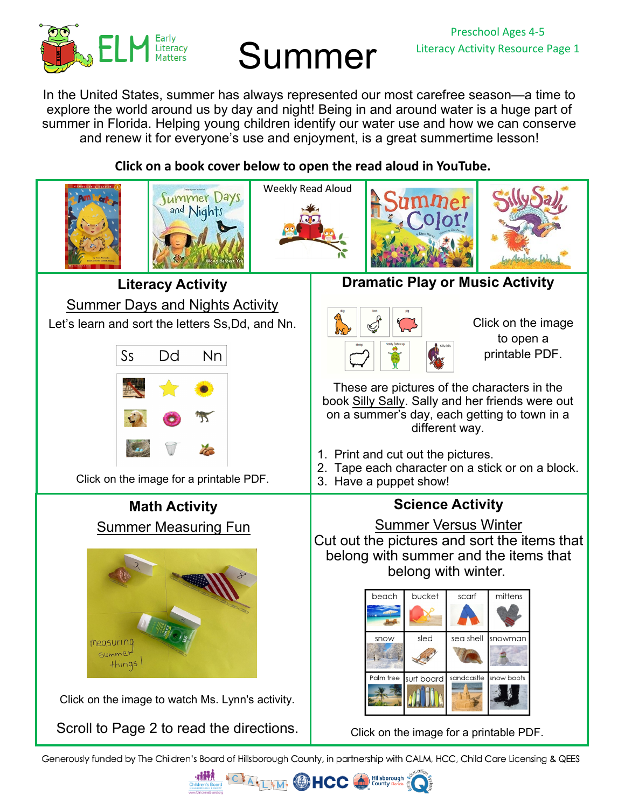

# Summer

In the United States, summer has always represented our most carefree season—a time to explore the world around us by day and night! Being in and around water is a huge part of summer in Florida. Helping young children identify our water use and how we can conserve and renew it for everyone's use and enjoyment, is a great summertime lesson!

## **Click on a book cover below to open the read aloud in YouTube.**



Generously funded by The Children's Board of Hillsborough County, in partnership with CALM, HCC, Child Care Licensing & QEES